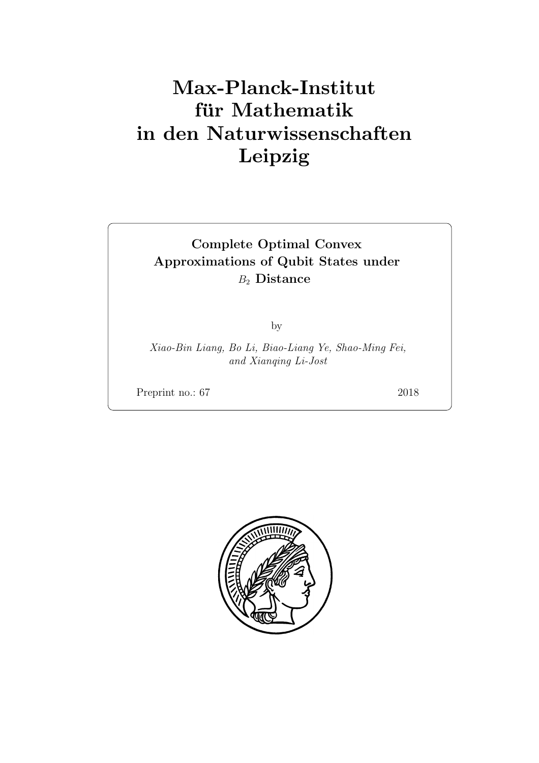# Max-Planck-Institut für Mathematik in den Naturwissenschaften Leipzig

# Complete Optimal Convex Approximations of Qubit States under  $B_2$  Distance

by

Xiao-Bin Liang, Bo Li, Biao-Liang Ye, Shao-Ming Fei, and Xianqing Li-Jost

Preprint no.: 67 2018

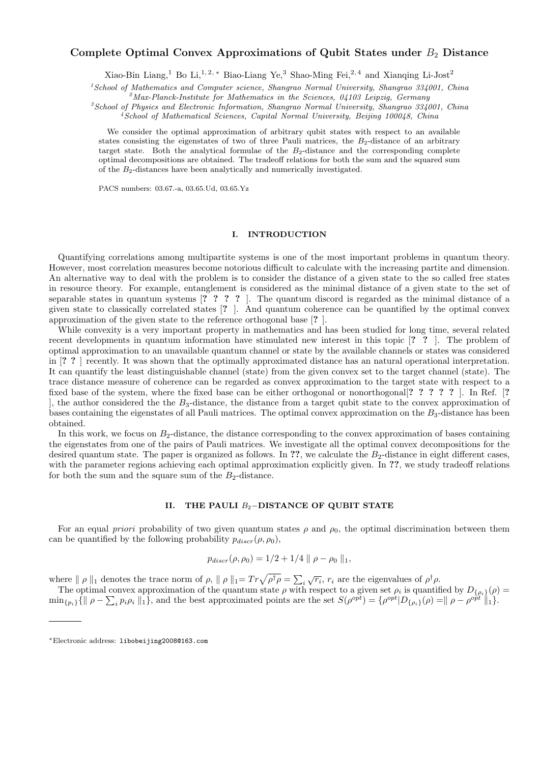# Complete Optimal Convex Approximations of Qubit States under  $B_2$  Distance

Xiao-Bin Liang,<sup>1</sup> Bo Li,<sup>1,2,\*</sup> Biao-Liang Ye,<sup>3</sup> Shao-Ming Fei,<sup>2,4</sup> and Xianqing Li-Jost<sup>2</sup>

 $1$ School of Mathematics and Computer science, Shangrao Normal University, Shangrao 334001, China

 $^{2}$ Max-Planck-Institute for Mathematics in the Sciences, 04103 Leipzig, Germany

 ${}^{3}S$ chool of Physics and Electronic Information, Shangrao Normal University, Shangrao 334001, China <sup>4</sup>School of Mathematical Sciences, Capital Normal University, Beijing 100048, China

We consider the optimal approximation of arbitrary qubit states with respect to an available states consisting the eigenstates of two of three Pauli matrices, the  $B_2$ -distance of an arbitrary target state. Both the analytical formulae of the  $B_2$ -distance and the corresponding complete optimal decompositions are obtained. The tradeoff relations for both the sum and the squared sum of the  $B_2$ -distances have been analytically and numerically investigated.

PACS numbers: 03.67.-a, 03.65.Ud, 03.65.Yz

## I. INTRODUCTION

Quantifying correlations among multipartite systems is one of the most important problems in quantum theory. However, most correlation measures become notorious difficult to calculate with the increasing partite and dimension. An alternative way to deal with the problem is to consider the distance of a given state to the so called free states in resource theory. For example, entanglement is considered as the minimal distance of a given state to the set of separable states in quantum systems [? ? ? ? ]. The quantum discord is regarded as the minimal distance of a given state to classically correlated states [? ]. And quantum coherence can be quantified by the optimal convex approximation of the given state to the reference orthogonal base [? ].

While convexity is a very important property in mathematics and has been studied for long time, several related recent developments in quantum information have stimulated new interest in this topic [? ? ]. The problem of optimal approximation to an unavailable quantum channel or state by the available channels or states was considered in [? ? ] recently. It was shown that the optimally approximated distance has an natural operational interpretation. It can quantify the least distinguishable channel (state) from the given convex set to the target channel (state). The trace distance measure of coherence can be regarded as convex approximation to the target state with respect to a fixed base of the system, where the fixed base can be either orthogonal or nonorthogonal[? ? ? ? ? ]. In Ref. [? ], the author considered the the  $B_3$ -distance, the distance from a target qubit state to the convex approximation of bases containing the eigenstates of all Pauli matrices. The optimal convex approximation on the  $B_3$ -distance has been obtained.

In this work, we focus on  $B<sub>2</sub>$ -distance, the distance corresponding to the convex approximation of bases containing the eigenstates from one of the pairs of Pauli matrices. We investigate all the optimal convex decompositions for the desired quantum state. The paper is organized as follows. In ??, we calculate the  $B_2$ -distance in eight different cases, with the parameter regions achieving each optimal approximation explicitly given. In ??, we study tradeoff relations for both the sum and the square sum of the  $B_2$ -distance.

### II. THE PAULI  $B_2$ −DISTANCE OF QUBIT STATE

For an equal priori probability of two given quantum states  $\rho$  and  $\rho_0$ , the optimal discrimination between them can be quantified by the following probability  $p_{discr}(\rho, \rho_0)$ ,

$$
p_{discr}(\rho, \rho_0) = 1/2 + 1/4 \parallel \rho - \rho_0 \parallel_1,
$$

where  $\| \rho \|_1$  denotes the trace norm of  $\rho$ ,  $\| \rho \|_1 = Tr \sqrt{\rho^{\dagger} \rho} = \sum_i$  $\sqrt{r_i}$ ,  $r_i$  are the eigenvalues of  $\rho^{\dagger} \rho$ .

The optimal convex approximation of the quantum state  $\rho$  with respect to a given set  $\rho_i$  is quantified by  $D_{\{\rho_i\}}(\rho)$  $\min_{\{p_i\}}\{\parallel \rho - \sum_i p_i \rho_i \parallel_1\},\$ and the best approximated points are the set  $S(\rho^{opt}) = {\rho^{opt}}|D_{\{\rho_i\}}(\rho) = ||\rho - \rho^{opt}||_1\}.$ 

<sup>∗</sup>Electronic address: libobeijing2008@163.com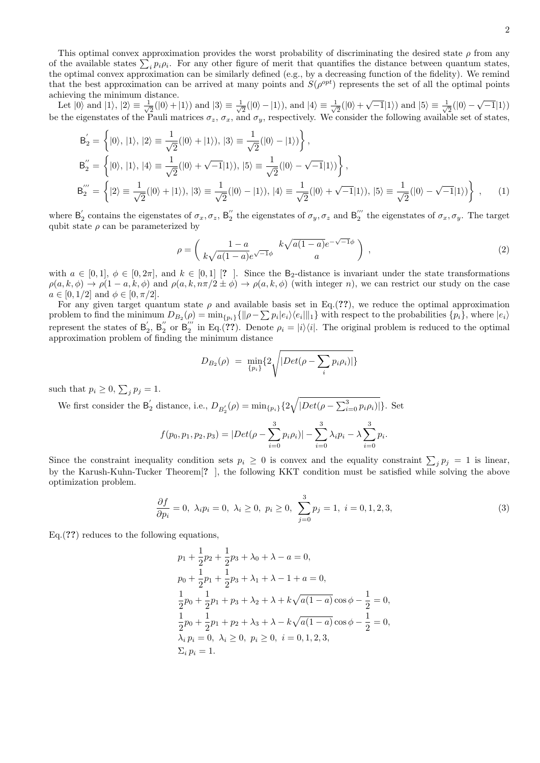This optimal convex approximation provides the worst probability of discriminating the desired state  $\rho$  from any of the available states  $\sum_i p_i \rho_i$ . For any other figure of merit that quantifies the distance between quantum states, the optimal convex approximation can be similarly defined (e.g., by a decreasing function of the fidelity). We remind that the best approximation can be arrived at many points and  $S(\rho^{opt})$  represents the set of all the optimal points achieving the minimum distance.

Let  $|0\rangle$  and  $|1\rangle, |2\rangle \equiv \frac{1}{\sqrt{2}}$  $\frac{1}{2}(|0\rangle + |1\rangle)$  and  $|3\rangle \equiv \frac{1}{\sqrt{2}}$  $\frac{1}{2}(|0\rangle - |1\rangle)$ , and  $|4\rangle \equiv \frac{1}{\sqrt{2}}$  $\frac{1}{2}(|0\rangle + \sqrt{-1}|1\rangle)$  and  $|5\rangle \equiv \frac{1}{\sqrt{2}}$  $\frac{1}{2}(|0\rangle - \sqrt{-1}|1\rangle)$ be the eigenstates of the Pauli matrices  $\sigma_z$ ,  $\sigma_x$ , and  $\sigma_y$ , respectively. We consider the following available set of states,

$$
B'_{2} = \left\{ |0\rangle, |1\rangle, |2\rangle \equiv \frac{1}{\sqrt{2}}(|0\rangle + |1\rangle), |3\rangle \equiv \frac{1}{\sqrt{2}}(|0\rangle - |1\rangle) \right\},
$$
  
\n
$$
B''_{2} = \left\{ |0\rangle, |1\rangle, |4\rangle \equiv \frac{1}{\sqrt{2}}(|0\rangle + \sqrt{-1}|1\rangle), |5\rangle \equiv \frac{1}{\sqrt{2}}(|0\rangle - \sqrt{-1}|1\rangle) \right\},
$$
  
\n
$$
B'''_{2} = \left\{ |2\rangle \equiv \frac{1}{\sqrt{2}}(|0\rangle + |1\rangle), |3\rangle \equiv \frac{1}{\sqrt{2}}(|0\rangle - |1\rangle), |4\rangle \equiv \frac{1}{\sqrt{2}}(|0\rangle + \sqrt{-1}|1\rangle), |5\rangle \equiv \frac{1}{\sqrt{2}}(|0\rangle - \sqrt{-1}|1\rangle) \right\},
$$
 (1)

where  $B'_2$  contains the eigenstates of  $\sigma_x, \sigma_z$ ,  $B''_2$  the eigenstates of  $\sigma_y, \sigma_z$  and  $B''_2$  the eigenstates of  $\sigma_x, \sigma_y$ . The target qubit state  $\rho$  can be parameterized by

$$
\rho = \left(\frac{1-a}{k\sqrt{a(1-a)}}e^{\sqrt{-1}\phi} \frac{k\sqrt{a(1-a)}}{a}e^{-\sqrt{-1}\phi}\right) ,\qquad (2)
$$

with  $a \in [0,1], \phi \in [0,2\pi]$ , and  $k \in [0,1]$  [? ]. Since the B<sub>2</sub>-distance is invariant under the state transformations  $\rho(a, k, \phi) \to \rho(1-a, k, \phi)$  and  $\rho(a, k, n\pi/2 \pm \phi) \to \rho(a, k, \phi)$  (with integer n), we can restrict our study on the case  $a \in [0, 1/2]$  and  $\phi \in [0, \pi/2]$ .

For any given target quantum state  $\rho$  and available basis set in Eq.(??), we reduce the optimal approximation problem to find the minimum  $D_{B_2}(\rho) = \min_{\{p_i\}} \{ ||\rho - \sum p_i |e_i\rangle\langle e_i||_1 \}$  with respect to the probabilities  $\{p_i\}$ , where  $|e_i\rangle$ represent the states of  $B'_2$ ,  $B''_2$  or  $B''_2$  in Eq.(??). Denote  $\rho_i = |i\rangle\langle i|$ . The original problem is reduced to the optimal approximation problem of finding the minimum distance

$$
D_{B_2}(\rho) = \min_{\{p_i\}} \{ 2 \sqrt{|Det(\rho - \sum_i p_i \rho_i)|} \}
$$

such that  $p_i \geq 0$ ,  $\sum_j p_j = 1$ .

We first consider the  $B'_2$  distance, i.e.,  $D_{B'_2}(\rho) = \min_{\{p_i\}} \{2\sqrt{|Det(\rho - \sum_{i=0}^3 p_i \rho_i)|}\}$ . Set

$$
f(p_0, p_1, p_2, p_3) = |Det(\rho - \sum_{i=0}^{3} p_i \rho_i)| - \sum_{i=0}^{3} \lambda_i p_i - \lambda \sum_{i=0}^{3} p_i.
$$

Since the constraint inequality condition sets  $p_i \geq 0$  is convex and the equality constraint  $\sum_j p_j = 1$  is linear, by the Karush-Kuhn-Tucker Theorem<sup>[2]</sup>, the following KKT condition must be satisfied while solving the above optimization problem.

$$
\frac{\partial f}{\partial p_i} = 0, \ \lambda_i p_i = 0, \ \lambda_i \ge 0, \ p_i \ge 0, \ \sum_{j=0}^3 p_j = 1, \ i = 0, 1, 2, 3,
$$
\n(3)

Eq.(??) reduces to the following equations,

$$
p_1 + \frac{1}{2}p_2 + \frac{1}{2}p_3 + \lambda_0 + \lambda - a = 0,
$$
  
\n
$$
p_0 + \frac{1}{2}p_1 + \frac{1}{2}p_3 + \lambda_1 + \lambda - 1 + a = 0,
$$
  
\n
$$
\frac{1}{2}p_0 + \frac{1}{2}p_1 + p_3 + \lambda_2 + \lambda + k\sqrt{a(1-a)}\cos\phi - \frac{1}{2} = 0,
$$
  
\n
$$
\frac{1}{2}p_0 + \frac{1}{2}p_1 + p_2 + \lambda_3 + \lambda - k\sqrt{a(1-a)}\cos\phi - \frac{1}{2} = 0,
$$
  
\n
$$
\lambda_i p_i = 0, \ \lambda_i \ge 0, \ p_i \ge 0, \ i = 0, 1, 2, 3,
$$
  
\n
$$
\Sigma_i p_i = 1.
$$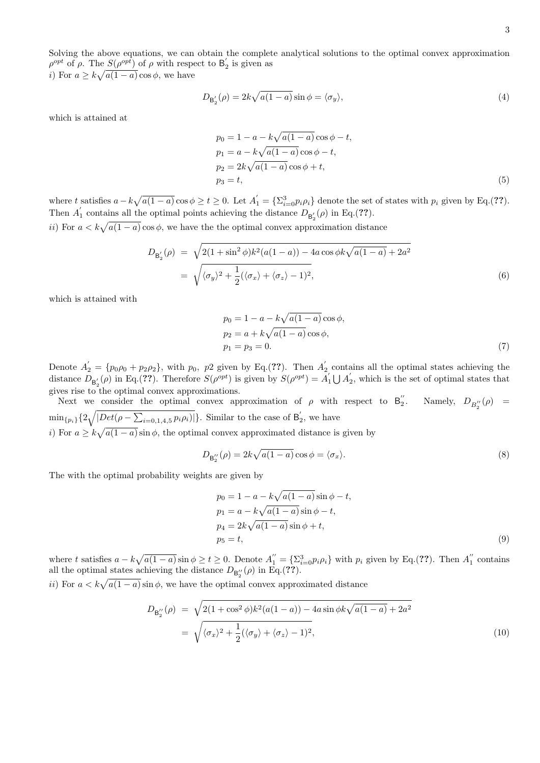*i*) For  $a \geq k\sqrt{a(1-a)}\cos\phi$ , we have

$$
D_{\mathsf{B}'_2}(\rho) = 2k\sqrt{a(1-a)}\sin\phi = \langle \sigma_y \rangle,\tag{4}
$$

which is attained at

$$
p_0 = 1 - a - k\sqrt{a(1 - a)}\cos\phi - t,
$$
  
\n
$$
p_1 = a - k\sqrt{a(1 - a)}\cos\phi - t,
$$
  
\n
$$
p_2 = 2k\sqrt{a(1 - a)}\cos\phi + t,
$$
  
\n
$$
p_3 = t,
$$
\n(5)

where t satisfies  $a - k\sqrt{a(1-a)}\cos\phi \ge t \ge 0$ . Let  $A'_1 = \{\sum_{i=0}^3 p_i \rho_i\}$  denote the set of states with  $p_i$  given by Eq.(??). Then  $A'_1$  contains all the optimal points achieving the distance  $D_{\mathsf{B}'_2}(\rho)$  in Eq.(??).

ii) For  $a < k\sqrt{a(1-a)}\cos\phi$ , we have the the optimal convex approximation distance

$$
D_{\mathsf{B}'_2}(\rho) = \sqrt{2(1 + \sin^2 \phi)k^2(a(1 - a)) - 4a\cos\phi k\sqrt{a(1 - a)} + 2a^2}
$$
  
=  $\sqrt{\langle \sigma_y \rangle^2 + \frac{1}{2}(\langle \sigma_x \rangle + \langle \sigma_z \rangle - 1)^2},$  (6)

which is attained with

$$
p_0 = 1 - a - k\sqrt{a(1 - a)}\cos\phi,
$$
  
\n
$$
p_2 = a + k\sqrt{a(1 - a)}\cos\phi,
$$
  
\n
$$
p_1 = p_3 = 0.
$$
\n(7)

Denote  $A'_2 = \{p_0 \rho_0 + p_2 \rho_2\}$ , with  $p_0$ ,  $p_2$  given by Eq.(??). Then  $A'_2$  contains all the optimal states achieving the distance  $D_{\mathsf{B}'_2}(\rho)$  in Eq.(??). Therefore  $S(\rho^{opt})$  is given by  $S(\rho^{opt}) = A'_1 \bigcup A'_2$ , which is the set of optimal states that gives rise to the optimal convex approximations.

Next we consider the optimal convex approximation of  $\rho$  with respect to  $B_2''$ . Namely,  $D_{B_2''}(\rho)$  =  $\min_{\{p_i\}}\{2\sqrt{|Det(\rho - \sum_{i=0,1,4,5}p_i\rho_i)|}\}\.$  Similar to the case of  $B'_2$ , we have

i) For  $a \geq k\sqrt{a(1-a)}\sin\phi$ , the optimal convex approximated distance is given by

$$
D_{\mathsf{B}_{2}^{"}}(\rho) = 2k\sqrt{a(1-a)}\cos\phi = \langle \sigma_{x} \rangle.
$$
\n(8)

The with the optimal probability weights are given by

$$
p_0 = 1 - a - k\sqrt{a(1 - a)}\sin\phi - t,
$$
  
\n
$$
p_1 = a - k\sqrt{a(1 - a)}\sin\phi - t,
$$
  
\n
$$
p_4 = 2k\sqrt{a(1 - a)}\sin\phi + t,
$$
  
\n
$$
p_5 = t,
$$
\n(9)

where t satisfies  $a - k\sqrt{a(1-a)}\sin \phi \ge t \ge 0$ . Denote  $A_1'' = {\sum_{i=0}^3 p_i \rho_i}$  with  $p_i$  given by Eq.(??). Then  $A_1''$  contains all the optimal states achieving the distance  $D_{\mathsf{B}_2^{"}}(\rho)$  in Eq.(??).

ii) For  $a < k\sqrt{a(1 - a)} \sin \phi$ , we have the optimal convex approximated distance

$$
D_{\mathsf{B}_{2}''}(\rho) = \sqrt{2(1+\cos^{2}\phi)k^{2}(a(1-a)) - 4a\sin\phi k\sqrt{a(1-a)} + 2a^{2}}
$$
  
= 
$$
\sqrt{\langle \sigma_{x} \rangle^{2} + \frac{1}{2}(\langle \sigma_{y} \rangle + \langle \sigma_{z} \rangle - 1)^{2}},
$$
 (10)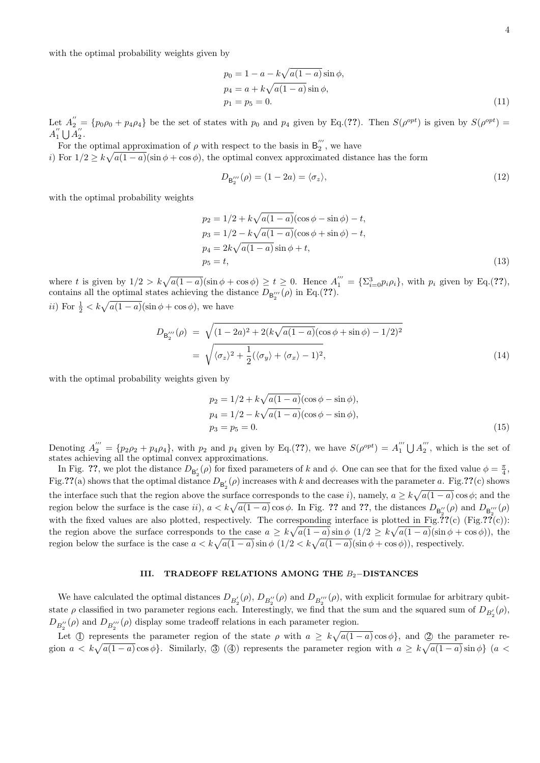$$
p_0 = 1 - a - k\sqrt{a(1 - a)}\sin\phi,
$$
  
\n
$$
p_4 = a + k\sqrt{a(1 - a)}\sin\phi,
$$
  
\n
$$
p_1 = p_5 = 0.
$$
\n(11)

Let  $A_{2}^{"'} = \{p_0\rho_0 + p_4\rho_4\}$  be the set of states with  $p_0$  and  $p_4$  given by Eq.(??). Then  $S(\rho^{opt})$  is given by  $S(\rho^{opt}) =$  $A_1'' \bigcup A_2''$ .

For the optimal approximation of  $\rho$  with respect to the basis in  $B_2^{'''}$ , we have i) For  $1/2 \geq k\sqrt{a(1-a)}(\sin\phi + \cos\phi)$ , the optimal convex approximated distance has the form

$$
D_{\mathsf{B}_{2}^{'''}}(\rho) = (1 - 2a) = \langle \sigma_{z} \rangle, \tag{12}
$$

with the optimal probability weights

$$
p_2 = 1/2 + k\sqrt{a(1-a)}(\cos\phi - \sin\phi) - t,
$$
  
\n
$$
p_3 = 1/2 - k\sqrt{a(1-a)}(\cos\phi + \sin\phi) - t,
$$
  
\n
$$
p_4 = 2k\sqrt{a(1-a)}\sin\phi + t,
$$
  
\n
$$
p_5 = t,
$$
\n(13)

where t is given by  $1/2 > k\sqrt{a(1-a)}(\sin\phi + \cos\phi) \ge t \ge 0$ . Hence  $A_1''' = {\sum_{i=0}^3} p_i \rho_i$ , with  $p_i$  given by Eq.(??), contains all the optimal states achieving the distance  $D_{\mathsf{B}_{2}''}(\rho)$  in Eq.(??).

*ii*) For  $\frac{1}{2} < k\sqrt{a(1-a)}(\sin \phi + \cos \phi)$ , we have

$$
D_{\mathsf{B}_{2}'''}(\rho) = \sqrt{(1 - 2a)^2 + 2(k\sqrt{a(1 - a)}(\cos\phi + \sin\phi) - 1/2)^2}
$$
  
=  $\sqrt{\langle \sigma_z \rangle^2 + \frac{1}{2}(\langle \sigma_y \rangle + \langle \sigma_x \rangle - 1)^2},$  (14)

with the optimal probability weights given by

$$
p_2 = 1/2 + k\sqrt{a(1-a)}(\cos\phi - \sin\phi),
$$
  
\n
$$
p_4 = 1/2 - k\sqrt{a(1-a)}(\cos\phi - \sin\phi),
$$
  
\n
$$
p_3 = p_5 = 0.
$$
\n(15)

Denoting  $A_2^{\prime\prime\prime} = \{p_2\rho_2 + p_4\rho_4\}$ , with  $p_2$  and  $p_4$  given by Eq.(??), we have  $S(\rho^{opt}) = A_1^{\prime\prime\prime} \cup A_2^{\prime\prime\prime}$ , which is the set of states achieving all the optimal convex approximations.

In Fig. ??, we plot the distance  $D_{\mathsf{B}_2'}(\rho)$  for fixed parameters of k and  $\phi$ . One can see that for the fixed value  $\phi = \frac{\pi}{4}$ . Fig.??(a) shows that the optimal distance  $D_{\mathsf{B}_2'}(\rho)$  increases with k and decreases with the parameter a. Fig.??(c) shows the interface such that the region above the surface corresponds to the case i), namely,  $a \geq k\sqrt{a(1-a)}\cos\phi$ ; and the region below the surface is the case ii),  $a < k\sqrt{a(1-a)}\cos\phi$ . In Fig. ?? and ??, the distances  $D_{\mathsf{B}_{2}''}(\rho)$  and  $D_{\mathsf{B}_{2}'''}(\rho)$ with the fixed values are also plotted, respectively. The corresponding interface is plotted in Fig.??(c) (Fig.??(c)): the region above the surface corresponds to the case  $a \geq k\sqrt{a(1-a)}\sin \phi \ (1/2 \geq k\sqrt{a(1-a)}(\sin \phi + \cos \phi))$ , the region below the surface is the case  $a < k\sqrt{a(1-a)}\sin\phi \left(\frac{1}{2} < k\sqrt{a(1-a)}(\sin\phi + \cos\phi)\right)$ , respectively.

### III. TRADEOFF RELATIONS AMONG THE B2−DISTANCES

We have calculated the optimal distances  $D_{B_2'}(\rho)$ ,  $D_{B_2''}(\rho)$  and  $D_{B_2'''}(\rho)$ , with explicit formulae for arbitrary qubitstate  $\rho$  classified in two parameter regions each. Interestingly, we find that the sum and the squared sum of  $D_{B'_2}(\rho)$ ,  $D_{B_2^{''}}(\rho)$  and  $D_{B_2^{'''}}(\rho)$  display some tradeoff relations in each parameter region.

Let (1) represents the parameter region of the state  $\rho$  with  $a \geq k\sqrt{a(1-a)}\cos\phi\}$ , and (2) the parameter region  $a < k\sqrt{a(1-a)}\cos\phi$ . Similarly,  $\mathcal{F}(\mathcal{A})$  represents the parameter region with  $a \geq k\sqrt{a(1-a)}\sin\phi$  (a <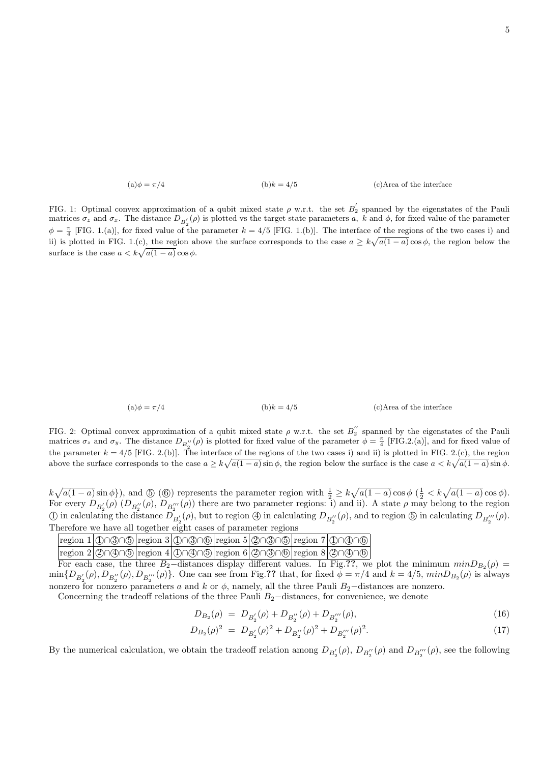(a) 
$$
\phi = \pi/4
$$
 (b)  $k = 4/5$  (c) Area of the interface

FIG. 1: Optimal convex approximation of a qubit mixed state  $\rho$  w.r.t. the set  $B_2^{'}$  spanned by the eigenstates of the Pauli matrices  $\sigma_z$  and  $\sigma_x$ . The distance  $D_{B_2'}(\rho)$  is plotted vs the target state parameters a, k and  $\phi$ , for fixed value of the parameter  $\phi = \frac{\pi}{4}$  [FIG. 1.(a)], for fixed value of the parameter  $k = 4/5$  [FIG. 1.(b)]. The interface of the regions of the two cases i) and ii) is plotted in FIG. 1.(c), the region above the surface corresponds to the case  $a \ge k\sqrt{a(1-a)}\cos\phi$ , the region below the surface is the case  $a < k\sqrt{a(1-a)}\cos\phi$ .

(a) 
$$
\phi = \pi/4
$$
 (b)  $k = 4/5$  (c) Area of the interface

FIG. 2: Optimal convex approximation of a qubit mixed state  $\rho$  w.r.t. the set  $B_2^{''}$  spanned by the eigenstates of the Pauli matrices  $\sigma_z$  and  $\sigma_y$ . The distance  $D_{B_2''}(\rho)$  is plotted for fixed value of the parameter  $\phi = \frac{\pi}{4}$  [FIG.2.(a)], and for fixed value of the parameter  $k = 4/5$  [FIG. 2.(b)]. The interface of the regions of the two cases i) and ii) is plotted in FIG. 2.(c), the region above the surface corresponds to the case  $a \geq k\sqrt{a(1-a)}\sin\phi$ , the region below the surface is the case  $a < k\sqrt{a(1-a)}\sin\phi$ .

 $k\sqrt{a(1-a)}\sin\phi$ , and  $\textcircled{5}$  ( $\textcircled{6}$ ) represents the parameter region with  $\frac{1}{2} \geq k\sqrt{a(1-a)}\cos\phi$  ( $\frac{1}{2} < k\sqrt{a(1-a)}\cos\phi$ ). For every  $D_{B_2'}(\rho)$   $(D_{B_2''}(\rho), D_{B_2'''}(\rho))$  there are two parameter regions: i) and ii). A state  $\rho$  may belong to the region (f) in calculating the distance  $D_{B_2'}(\rho)$ , but to region  $\textcircled{4}$  in calculating  $D_{B_2''}(\rho)$ , and to region  $\textcircled{5}$  in calculating  $D_{B_2'''}(\rho)$ . Therefore we have all together eight cases of parameter regions

|  |  |  | region $1 \text{0}\cap\text{0}\cap\text{0} $ region $3 \text{0}\cap\text{0}\cap\text{0} $ region $5 \text{0}\cap\text{0}\cap\text{0} $ region $7 \text{0}\cap\text{0}\cap\text{0} $                                     |  |
|--|--|--|-------------------------------------------------------------------------------------------------------------------------------------------------------------------------------------------------------------------------|--|
|  |  |  | region $2 \mathcal{Q}\cap\mathcal{Q}\cap\mathcal{D} $ region $4 \mathcal{Q}\cap\mathcal{Q}\cap\mathcal{D} $ region $6 \mathcal{Q}\cap\mathcal{Q}\cap\mathcal{B} $ region $8 \mathcal{Q}\cap\mathcal{Q}\cap\mathcal{B} $ |  |

For each case, the three B<sub>2</sub>-distances display different values. In Fig.??, we plot the minimum  $minD_{B_2}(\rho)$  $\min\{D_{B_2'}(\rho), D_{B_2''}(\rho), D_{B_2''}(\rho)\}\$ . One can see from Fig.?? that, for fixed  $\phi = \pi/4$  and  $k = 4/5$ ,  $\min D_{B_2}(\rho)$  is always nonzero for nonzero parameters a and k or  $\phi$ , namely, all the three Pauli B<sub>2</sub>−distances are nonzero.

Concerning the tradeoff relations of the three Pauli  $B_2$ −distances, for convenience, we denote

$$
D_{B_2}(\rho) = D_{B'_2}(\rho) + D_{B''_2}(\rho) + D_{B'''_2}(\rho), \tag{16}
$$

$$
D_{B_2}(\rho)^2 = D_{B'_2}(\rho)^2 + D_{B''_2}(\rho)^2 + D_{B'''_2}(\rho)^2.
$$
\n(17)

By the numerical calculation, we obtain the tradeoff relation among  $D_{B'_2}(\rho)$ ,  $D_{B''_2}(\rho)$  and  $D_{B'''_2}(\rho)$ , see the following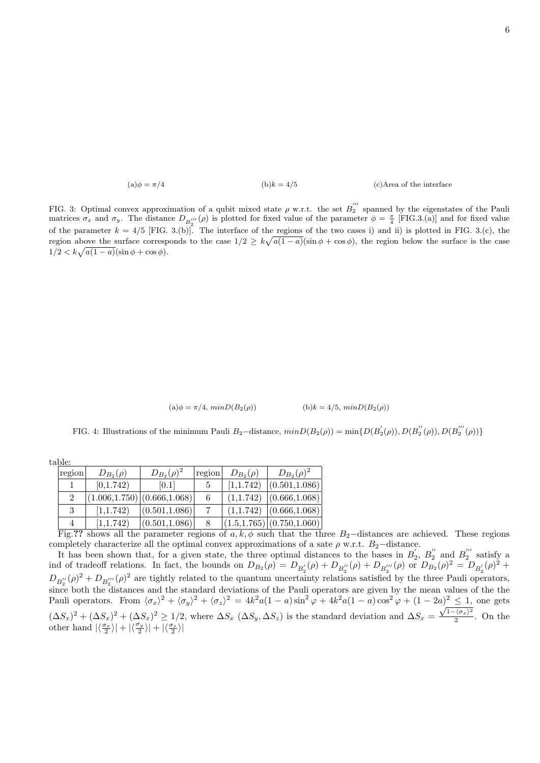(a) 
$$
\phi = \pi/4
$$
 (b)  $k = 4/5$  (c) Area of the interface

FIG. 3: Optimal convex approximation of a qubit mixed state  $\rho$  w.r.t. the set  $B_2^{'''}$  spanned by the eigenstates of the Pauli matrices  $\sigma_x$  and  $\sigma_y$ . The distance  $D_{B_2''}(\rho)$  is plotted for fixed value of the parameter  $\phi = \frac{\pi}{4}$  [FIG.3.(a)] and for fixed value of the parameter  $k = 4/5$  [FIG. 3.(b)]. The interface of the regions of the two cases i) and ii) is plotted in FIG. 3.(c), the region above the surface corresponds to the case  $1/2 \ge k\sqrt{a(1-a)}(\sin \phi + \cos \phi)$ , the region below the surface is the case  $1/2 < k\sqrt{a(1-a)}(\sin\phi + \cos\phi).$ 

| (b) $k = 4/5$ , $minD(B_2(\rho))$ |
|-----------------------------------|
|                                   |

FIG. 4: Illustrations of the minimum Pauli B<sub>2</sub>-distance,  $minD(B_2(\rho)) = min\{D(B'_2(\rho)), D(B''_2(\rho)), D(B'''_2(\rho))\}$ 

table:

| region         | $D_{B_2}(\rho)$               | $D_{B_2}(\rho)^2$ | region | $D_{B_2}(\rho)$ | $D_{B_2}(\rho)^2$                                     |
|----------------|-------------------------------|-------------------|--------|-----------------|-------------------------------------------------------|
|                | [0,1.742)                     | [0.1]             |        |                 | $\vert 1, 1.742 \rangle$ $\vert (0.501, 1.086) \vert$ |
| $\overline{2}$ | (1.006, 1.750) (0.666, 1.068) |                   | 6      |                 | $(1,1.742)$ $ (0.666,1.068) $                         |
|                | [1,1.742)                     | (0.501, 1.086)    |        |                 | $(1,1.742)$ $ (0.666,1.068) $                         |
| 4              | [1,1.742)                     | (0.501, 1.086)    |        |                 | (1.5,1.765) (0.750,1.060)                             |

Fig.?? shows all the parameter regions of  $a, k, \phi$  such that the three B<sub>2</sub>−distances are achieved. These regions completely characterize all the optimal convex approximations of a sate  $\rho$  w.r.t. B<sub>2</sub>−distance.

It has been shown that, for a given state, the three optimal distances to the bases in  $B_2, B_2''$  and  $B_2''$  satisfy a ind of tradeoff relations. In fact, the bounds on  $D_{B_2}(\rho) = D_{B'_2}(\rho) + D_{B''_2}(\rho) + D_{B'''_2}(\rho)$  or  $D_{B_2}(\rho)^2 = D_{B'_2}(\rho)^2 + D_{B''_1}(\rho)$  $D_{B''_2}(\rho)^2 + D_{B'''_2}(\rho)^2$  are tightly related to the quantum uncertainty relations satisfied by the three Pauli operators,  $\frac{L_2}{2}$  both the distances and the standard deviations of the Pauli operators are given by the mean values of the the Pauli operators. From  $\langle \sigma_x \rangle^2 + \langle \sigma_y \rangle^2 + \langle \sigma_z \rangle^2 = 4k^2a(1-a)\sin^2\varphi + 4k^2a(1-a)\cos^2\varphi + (1-2a)\frac{2}{\sqrt{2}}\sin\varphi$  one gets  $(\Delta S_x)^2 + (\Delta S_x)^2 + (\Delta S_x)^2 \ge 1/2$ , where  $\Delta S_x$   $(\Delta S_y, \Delta S_z)$  is the standard deviation and  $\Delta S_x = \frac{\sqrt{1-\langle \sigma_x \rangle^2}}{2}$  $\frac{2}{2}$ . On the other hand  $|\langle \frac{\sigma_x}{2} \rangle| + |\langle \frac{\sigma_y}{2} \rangle| + |\langle \frac{\sigma_z}{2} \rangle|$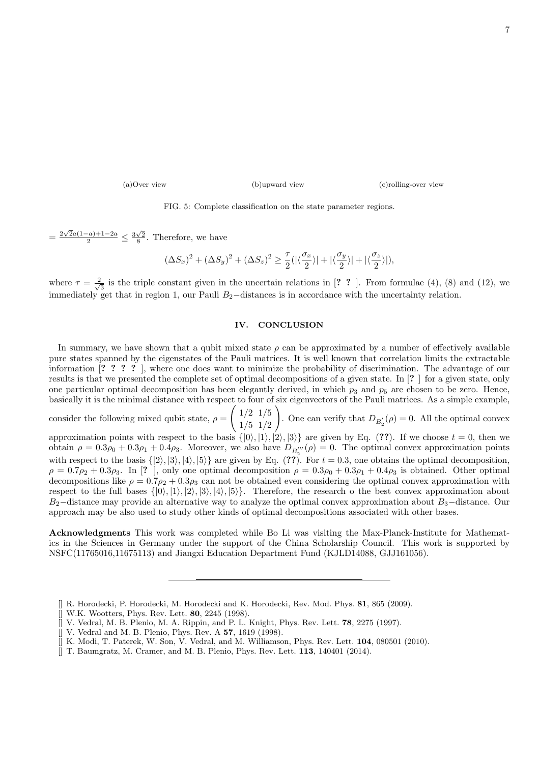(a)Over view (b)upward view (c)rolling-over view

FIG. 5: Complete classification on the state parameter regions.

=  $\frac{2\sqrt{2}a(1-a)+1-2a}{2} \leq \frac{3\sqrt{2}}{8}$ . Therefore, we have

$$
(\Delta S_x)^2 + (\Delta S_y)^2 + (\Delta S_z)^2 \geq \frac{\tau}{2}(|\langle \frac{\sigma_x}{2} \rangle| + |\langle \frac{\sigma_y}{2} \rangle| + |\langle \frac{\sigma_z}{2} \rangle|),
$$

where  $\tau = \frac{2}{\sqrt{2}}$  $\frac{1}{3}$  is the triple constant given in the uncertain relations in [? ? ]. From formulae (4), (8) and (12), we immediately get that in region 1, our Pauli  $B_2$ −distances is in accordance with the uncertainty relation.

#### IV. CONCLUSION

In summary, we have shown that a qubit mixed state  $\rho$  can be approximated by a number of effectively available pure states spanned by the eigenstates of the Pauli matrices. It is well known that correlation limits the extractable information [? ? ? ? ], where one does want to minimize the probability of discrimination. The advantage of our results is that we presented the complete set of optimal decompositions of a given state. In [? ] for a given state, only one particular optimal decomposition has been elegantly derived, in which  $p_3$  and  $p_5$  are chosen to be zero. Hence, basically it is the minimal distance with respect to four of six eigenvectors of the Pauli matrices. As a simple example,

consider the following mixed qubit state,  $\rho =$  $\int 1/2 \frac{1}{5}$ 1/5 1/2  $\setminus$ . One can verify that  $D_{B'_2}(\rho) = 0$ . All the optimal convex

approximation points with respect to the basis  $\{|0\rangle, |1\rangle, |2\rangle, |3\rangle\}$  are given by Eq. (??). If we choose  $t = 0$ , then we obtain  $\rho = 0.3\rho_0 + 0.3\rho_1 + 0.4\rho_3$ . Moreover, we also have  $D_{B_2''}(\rho) = 0$ . The optimal convex approximation points with respect to the basis  $\{|2\rangle, |3\rangle, |4\rangle, |5\rangle\}$  are given by Eq. (??). For  $t = 0.3$ , one obtains the optimal decomposition,  $\rho = 0.7\rho_2 + 0.3\rho_3$ . In [?], only one optimal decomposition  $\rho = 0.3\rho_0 + 0.3\rho_1 + 0.4\rho_3$  is obtained. Other optimal decompositions like  $\rho = 0.7\rho_2 + 0.3\rho_3$  can not be obtained even considering the optimal convex approximation with respect to the full bases  $\{|0\rangle, |1\rangle, |2\rangle, |3\rangle, |4\rangle, |5\rangle\}$ . Therefore, the research o the best convex approximation about  $B_2$ −distance may provide an alternative way to analyze the optimal convex approximation about  $B_3$ −distance. Our approach may be also used to study other kinds of optimal decompositions associated with other bases.

Acknowledgments This work was completed while Bo Li was visiting the Max-Planck-Institute for Mathematics in the Sciences in Germany under the support of the China Scholarship Council. This work is supported by NSFC(11765016,11675113) and Jiangxi Education Department Fund (KJLD14088, GJJ161056).

- [] W.K. Wootters, Phys. Rev. Lett. 80, 2245 (1998).
- [] V. Vedral, M. B. Plenio, M. A. Rippin, and P. L. Knight, Phys. Rev. Lett. 78, 2275 (1997).
- [] V. Vedral and M. B. Plenio, Phys. Rev. A 57, 1619 (1998).
- K. Modi, T. Paterek, W. Son, V. Vedral, and M. Williamson, Phys. Rev. Lett. 104, 080501 (2010).  $\begin{bmatrix} \end{bmatrix}$  K. Modi, T. Paterek, W. Son, V. Vedral, and M. Williamson, Phys. Rev. Lett. 104  $\begin{bmatrix} \end{bmatrix}$  T. Baumgratz, M. Cramer, and M. B. Plenio, Phys. Rev. Lett. 113, 140401 (2014).
- 

<sup>[]</sup> R. Horodecki, P. Horodecki, M. Horodecki and K. Horodecki, Rev. Mod. Phys. 81, 865 (2009).